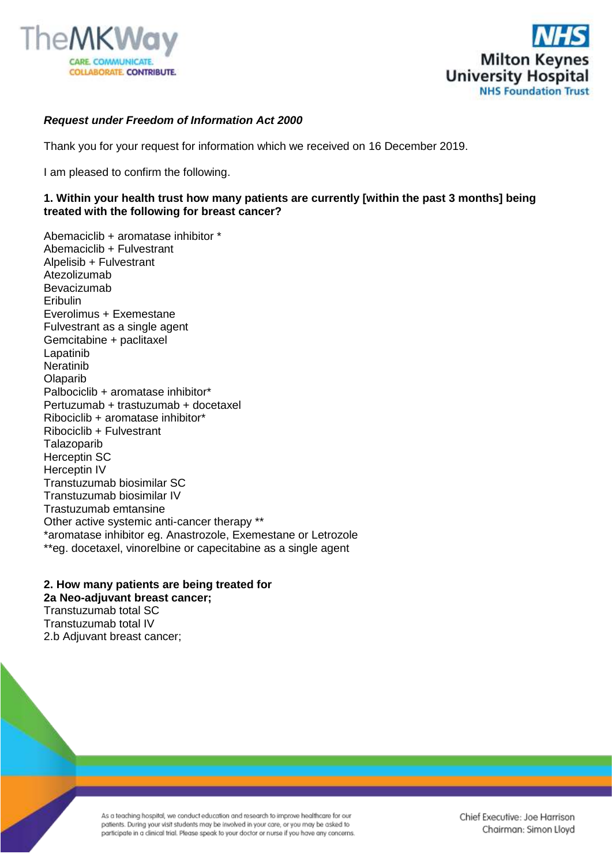



## *Request under Freedom of Information Act 2000*

Thank you for your request for information which we received on 16 December 2019.

I am pleased to confirm the following.

## **1. Within your health trust how many patients are currently [within the past 3 months] being treated with the following for breast cancer?**

Abemaciclib + aromatase inhibitor \* Abemaciclib + Fulvestrant Alpelisib + Fulvestrant Atezolizumab Bevacizumab Eribulin Everolimus + Exemestane Fulvestrant as a single agent Gemcitabine + paclitaxel Lapatinib **Neratinib Olaparib** Palbociclib + aromatase inhibitor\* Pertuzumab + trastuzumab + docetaxel Ribociclib + aromatase inhibitor\* Ribociclib + Fulvestrant **Talazoparib** Herceptin SC Herceptin IV Transtuzumab biosimilar SC Transtuzumab biosimilar IV Trastuzumab emtansine Other active systemic anti-cancer therapy \*\* \*aromatase inhibitor eg. Anastrozole, Exemestane or Letrozole \*\*eg. docetaxel, vinorelbine or capecitabine as a single agent

**2. How many patients are being treated for 2a Neo-adjuvant breast cancer;** Transtuzumab total SC Transtuzumab total IV 2.b Adjuvant breast cancer;

> As a teaching hospital, we conduct education and research to improve healthcare for our patients. During your visit students may be involved in your care, or you may be asked to participate in a clinical trial. Please speak to your doctor or nurse if you have any concerns.